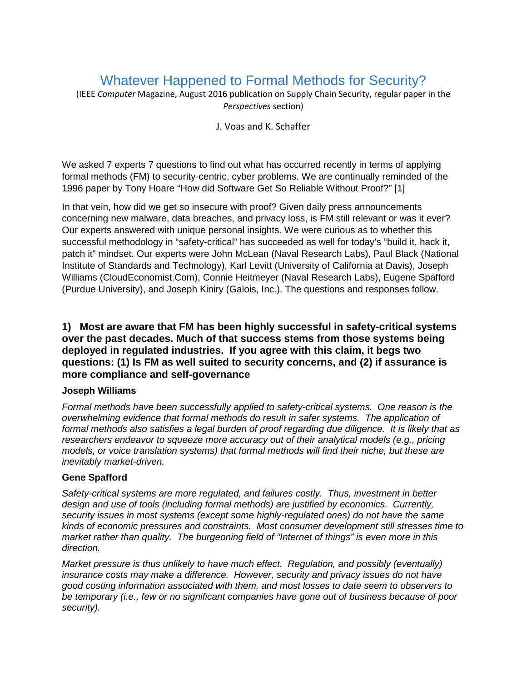# Whatever Happened to Formal Methods for Security?

(IEEE *Computer* Magazine, August 2016 publication on Supply Chain Security, regular paper in the *Perspectives* section)

### J. Voas and K. Schaffer

We asked 7 experts 7 questions to find out what has occurred recently in terms of applying formal methods (FM) to security-centric, cyber problems. We are continually reminded of the 1996 paper by Tony Hoare "How did Software Get So Reliable Without Proof?" [1]

In that vein, how did we get so insecure with proof? Given daily press announcements concerning new malware, data breaches, and privacy loss, is FM still relevant or was it ever? Our experts answered with unique personal insights. We were curious as to whether this successful methodology in "safety-critical" has succeeded as well for today's "build it, hack it, patch it" mindset. Our experts were John McLean (Naval Research Labs), Paul Black (National Institute of Standards and Technology), Karl Levitt (University of California at Davis), Joseph Williams (CloudEconomist.Com), Connie Heitmeyer (Naval Research Labs), Eugene Spafford (Purdue University), and Joseph Kiniry (Galois, Inc.). The questions and responses follow.

# **1) Most are aware that FM has been highly successful in safety-critical systems over the past decades. Much of that success stems from those systems being deployed in regulated industries. If you agree with this claim, it begs two questions: (1) Is FM as well suited to security concerns, and (2) if assurance is more compliance and self-governance**

# **Joseph Williams**

*Formal methods have been successfully applied to safety-critical systems. One reason is the overwhelming evidence that formal methods do result in safer systems. The application of formal methods also satisfies a legal burden of proof regarding due diligence. It is likely that as researchers endeavor to squeeze more accuracy out of their analytical models (e.g., pricing models, or voice translation systems) that formal methods will find their niche, but these are inevitably market-driven.*

# **Gene Spafford**

*Safety-critical systems are more regulated, and failures costly. Thus, investment in better design and use of tools (including formal methods) are justified by economics. Currently, security issues in most systems (except some highly-regulated ones) do not have the same kinds of economic pressures and constraints. Most consumer development still stresses time to market rather than quality. The burgeoning field of "Internet of things" is even more in this direction.*

*Market pressure is thus unlikely to have much effect. Regulation, and possibly (eventually) insurance costs may make a difference. However, security and privacy issues do not have good costing information associated with them, and most losses to date seem to observers to be temporary (i.e., few or no significant companies have gone out of business because of poor security).*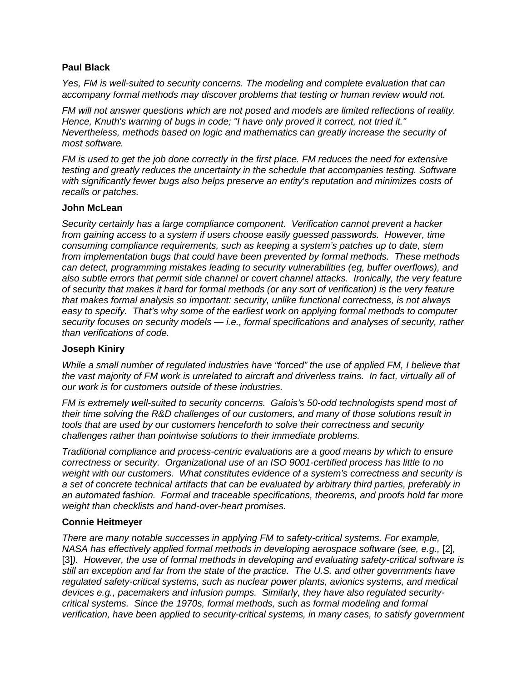# **Paul Black**

*Yes, FM is well-suited to security concerns. The modeling and complete evaluation that can accompany formal methods may discover problems that testing or human review would not.* 

*FM will not answer questions which are not posed and models are limited reflections of reality. Hence, Knuth's warning of bugs in code; "I have only proved it correct, not tried it." Nevertheless, methods based on logic and mathematics can greatly increase the security of most software.*

*FM is used to get the job done correctly in the first place. FM reduces the need for extensive testing and greatly reduces the uncertainty in the schedule that accompanies testing. Software with significantly fewer bugs also helps preserve an entity's reputation and minimizes costs of recalls or patches.*

### **John McLean**

*Security certainly has a large compliance component. Verification cannot prevent a hacker from gaining access to a system if users choose easily guessed passwords. However, time consuming compliance requirements, such as keeping a system's patches up to date, stem from implementation bugs that could have been prevented by formal methods. These methods can detect, programming mistakes leading to security vulnerabilities (eg, buffer overflows), and also subtle errors that permit side channel or covert channel attacks. Ironically, the very feature of security that makes it hard for formal methods (or any sort of verification) is the very feature that makes formal analysis so important: security, unlike functional correctness, is not always easy to specify. That's why some of the earliest work on applying formal methods to computer security focuses on security models — i.e., formal specifications and analyses of security, rather than verifications of code.*

### **Joseph Kiniry**

*While a small number of regulated industries have "forced" the use of applied FM, I believe that the vast majority of FM work is unrelated to aircraft and driverless trains. In fact, virtually all of our work is for customers outside of these industries.*

*FM is extremely well-suited to security concerns. Galois's 50-odd technologists spend most of their time solving the R&D challenges of our customers, and many of those solutions result in tools that are used by our customers henceforth to solve their correctness and security challenges rather than pointwise solutions to their immediate problems.*

*Traditional compliance and process-centric evaluations are a good means by which to ensure correctness or security. Organizational use of an ISO 9001-certified process has little to no weight with our customers. What constitutes evidence of a system's correctness and security is a set of concrete technical artifacts that can be evaluated by arbitrary third parties, preferably in an automated fashion. Formal and traceable specifications, theorems, and proofs hold far more weight than checklists and hand-over-heart promises.*

### **Connie Heitmeyer**

*There are many notable successes in applying FM to safety-critical systems. For example, NASA has effectively applied formal methods in developing aerospace software (see, e.g.,* [2]*,*  [3]*). However, the use of formal methods in developing and evaluating safety-critical software is still an exception and far from the state of the practice. The U.S. and other governments have regulated safety-critical systems, such as nuclear power plants, avionics systems, and medical devices e.g., pacemakers and infusion pumps. Similarly, they have also regulated securitycritical systems. Since the 1970s, formal methods, such as formal modeling and formal verification, have been applied to security-critical systems, in many cases, to satisfy government*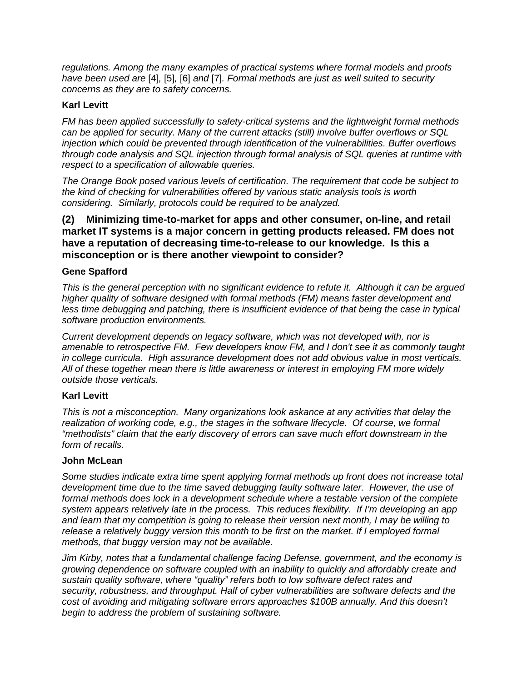*regulations. Among the many examples of practical systems where formal models and proofs have been used are* [4]*,* [5]*,* [6] *and* [7]*. Formal methods are just as well suited to security concerns as they are to safety concerns.*

# **Karl Levitt**

*FM has been applied successfully to safety-critical systems and the lightweight formal methods can be applied for security. Many of the current attacks (still) involve buffer overflows or SQL injection which could be prevented through identification of the vulnerabilities. Buffer overflows through code analysis and SQL injection through formal analysis of SQL queries at runtime with respect to a specification of allowable queries.* 

*The Orange Book posed various levels of certification. The requirement that code be subject to the kind of checking for vulnerabilities offered by various static analysis tools is worth considering. Similarly, protocols could be required to be analyzed.*

# **(2) Minimizing time-to-market for apps and other consumer, on-line, and retail market IT systems is a major concern in getting products released. FM does not have a reputation of decreasing time-to-release to our knowledge. Is this a misconception or is there another viewpoint to consider?**

# **Gene Spafford**

*This is the general perception with no significant evidence to refute it. Although it can be argued higher quality of software designed with formal methods (FM) means faster development and less time debugging and patching, there is insufficient evidence of that being the case in typical software production environments.*

*Current development depends on legacy software, which was not developed with, nor is amenable to retrospective FM. Few developers know FM, and I don't see it as commonly taught in college curricula. High assurance development does not add obvious value in most verticals. All of these together mean there is little awareness or interest in employing FM more widely outside those verticals.*

# **Karl Levitt**

*This is not a misconception. Many organizations look askance at any activities that delay the realization of working code, e.g., the stages in the software lifecycle. Of course, we formal "methodists" claim that the early discovery of errors can save much effort downstream in the form of recalls.*

# **John McLean**

*Some studies indicate extra time spent applying formal methods up front does not increase total development time due to the time saved debugging faulty software later. However, the use of formal methods does lock in a development schedule where a testable version of the complete system appears relatively late in the process. This reduces flexibility. If I'm developing an app and learn that my competition is going to release their version next month, I may be willing to release a relatively buggy version this month to be first on the market. If I employed formal methods, that buggy version may not be available.*

*Jim Kirby, notes that a fundamental challenge facing Defense, government, and the economy is growing dependence on software coupled with an inability to quickly and affordably create and sustain quality software, where "quality" refers both to low software defect rates and security, robustness, and throughput. Half of cyber vulnerabilities are software defects and the cost of avoiding and mitigating software errors approaches \$100B annually. And this doesn't begin to address the problem of sustaining software.*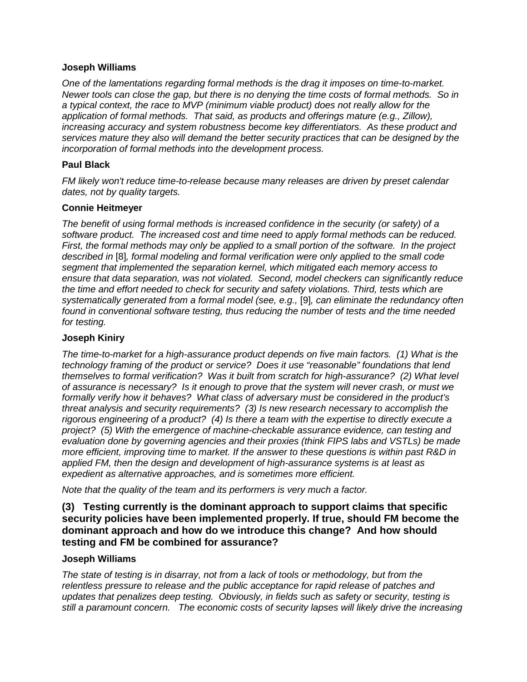### **Joseph Williams**

*One of the lamentations regarding formal methods is the drag it imposes on time-to-market. Newer tools can close the gap, but there is no denying the time costs of formal methods. So in a typical context, the race to MVP (minimum viable product) does not really allow for the application of formal methods. That said, as products and offerings mature (e.g., Zillow), increasing accuracy and system robustness become key differentiators. As these product and services mature they also will demand the better security practices that can be designed by the incorporation of formal methods into the development process.*

### **Paul Black**

*FM likely won't reduce time-to-release because many releases are driven by preset calendar dates, not by quality targets.*

### **Connie Heitmeyer**

*The benefit of using formal methods is increased confidence in the security (or safety) of a software product. The increased cost and time need to apply formal methods can be reduced. First, the formal methods may only be applied to a small portion of the software. In the project described in* [8]*, formal modeling and formal verification were only applied to the small code segment that implemented the separation kernel, which mitigated each memory access to ensure that data separation, was not violated. Second, model checkers can significantly reduce the time and effort needed to check for security and safety violations. Third, tests which are systematically generated from a formal model (see, e.g.,* [9]*, can eliminate the redundancy often found in conventional software testing, thus reducing the number of tests and the time needed for testing.* 

### **Joseph Kiniry**

*The time-to-market for a high-assurance product depends on five main factors. (1) What is the technology framing of the product or service? Does it use "reasonable" foundations that lend themselves to formal verification? Was it built from scratch for high-assurance? (2) What level of assurance is necessary? Is it enough to prove that the system will never crash, or must we formally verify how it behaves? What class of adversary must be considered in the product's threat analysis and security requirements? (3) Is new research necessary to accomplish the rigorous engineering of a product? (4) Is there a team with the expertise to directly execute a project? (5) With the emergence of machine-checkable assurance evidence, can testing and evaluation done by governing agencies and their proxies (think FIPS labs and VSTLs) be made more efficient, improving time to market. If the answer to these questions is within past R&D in applied FM, then the design and development of high-assurance systems is at least as expedient as alternative approaches, and is sometimes more efficient.*

*Note that the quality of the team and its performers is very much a factor.* 

# **(3) Testing currently is the dominant approach to support claims that specific security policies have been implemented properly. If true, should FM become the dominant approach and how do we introduce this change? And how should testing and FM be combined for assurance?**

### **Joseph Williams**

*The state of testing is in disarray, not from a lack of tools or methodology, but from the relentless pressure to release and the public acceptance for rapid release of patches and updates that penalizes deep testing. Obviously, in fields such as safety or security, testing is still a paramount concern. The economic costs of security lapses will likely drive the increasing*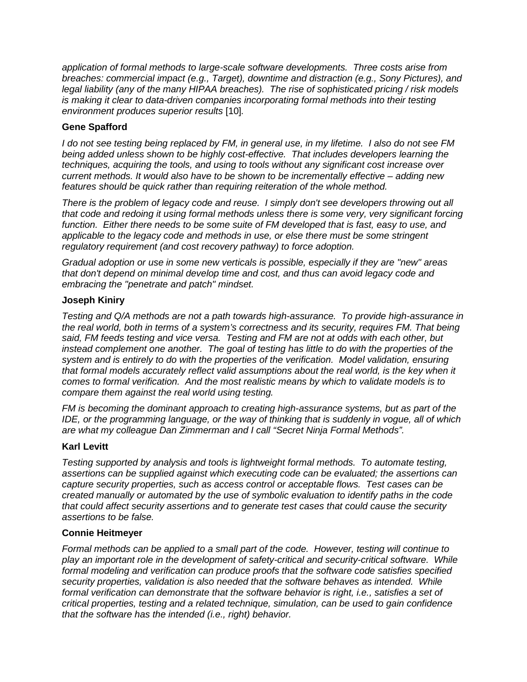*application of formal methods to large-scale software developments. Three costs arise from breaches: commercial impact (e.g., Target), downtime and distraction (e.g., Sony Pictures), and legal liability (any of the many HIPAA breaches). The rise of sophisticated pricing / risk models is making it clear to data-driven companies incorporating formal methods into their testing environment produces superior results* [10]*.* 

# **Gene Spafford**

*I do not see testing being replaced by FM, in general use, in my lifetime. I also do not see FM being added unless shown to be highly cost-effective. That includes developers learning the techniques, acquiring the tools, and using to tools without any significant cost increase over current methods. It would also have to be shown to be incrementally effective – adding new features should be quick rather than requiring reiteration of the whole method.*

*There is the problem of legacy code and reuse. I simply don't see developers throwing out all that code and redoing it using formal methods unless there is some very, very significant forcing*  function. Either there needs to be some suite of FM developed that is fast, easy to use, and *applicable to the legacy code and methods in use, or else there must be some stringent regulatory requirement (and cost recovery pathway) to force adoption.*

*Gradual adoption or use in some new verticals is possible, especially if they are "new" areas that don't depend on minimal develop time and cost, and thus can avoid legacy code and embracing the "penetrate and patch" mindset.*

# **Joseph Kiniry**

*Testing and Q/A methods are not a path towards high-assurance. To provide high-assurance in the real world, both in terms of a system's correctness and its security, requires FM. That being said, FM feeds testing and vice versa. Testing and FM are not at odds with each other, but instead complement one another. The goal of testing has little to do with the properties of the system and is entirely to do with the properties of the verification. Model validation, ensuring that formal models accurately reflect valid assumptions about the real world, is the key when it comes to formal verification. And the most realistic means by which to validate models is to compare them against the real world using testing.*

*FM is becoming the dominant approach to creating high-assurance systems, but as part of the IDE, or the programming language, or the way of thinking that is suddenly in vogue, all of which are what my colleague Dan Zimmerman and I call "Secret Ninja Formal Methods".*

# **Karl Levitt**

*Testing supported by analysis and tools is lightweight formal methods. To automate testing, assertions can be supplied against which executing code can be evaluated; the assertions can capture security properties, such as access control or acceptable flows. Test cases can be created manually or automated by the use of symbolic evaluation to identify paths in the code that could affect security assertions and to generate test cases that could cause the security assertions to be false.*

# **Connie Heitmeyer**

*Formal methods can be applied to a small part of the code. However, testing will continue to play an important role in the development of safety-critical and security-critical software. While formal modeling and verification can produce proofs that the software code satisfies specified security properties, validation is also needed that the software behaves as intended. While formal verification can demonstrate that the software behavior is right, i.e., satisfies a set of critical properties, testing and a related technique, simulation, can be used to gain confidence that the software has the intended (i.e., right) behavior.*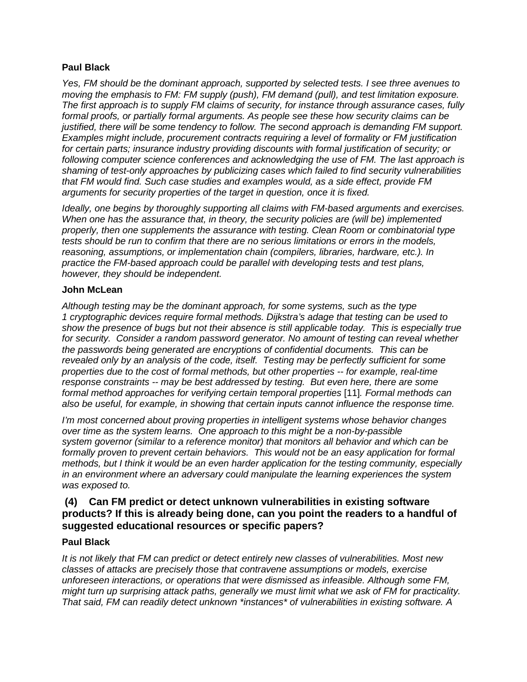# **Paul Black**

*Yes, FM should be the dominant approach, supported by selected tests. I see three avenues to moving the emphasis to FM: FM supply (push), FM demand (pull), and test limitation exposure. The first approach is to supply FM claims of security, for instance through assurance cases, fully formal proofs, or partially formal arguments. As people see these how security claims can be justified, there will be some tendency to follow. The second approach is demanding FM support. Examples might include, procurement contracts requiring a level of formality or FM justification for certain parts; insurance industry providing discounts with formal justification of security; or following computer science conferences and acknowledging the use of FM. The last approach is shaming of test-only approaches by publicizing cases which failed to find security vulnerabilities that FM would find. Such case studies and examples would, as a side effect, provide FM arguments for security properties of the target in question, once it is fixed.*

*Ideally, one begins by thoroughly supporting all claims with FM-based arguments and exercises. When one has the assurance that, in theory, the security policies are (will be) implemented properly, then one supplements the assurance with testing. Clean Room or combinatorial type tests should be run to confirm that there are no serious limitations or errors in the models, reasoning, assumptions, or implementation chain (compilers, libraries, hardware, etc.). In practice the FM-based approach could be parallel with developing tests and test plans, however, they should be independent.*

# **John McLean**

*Although testing may be the dominant approach, for some systems, such as the type 1 cryptographic devices require formal methods. Dijkstra's adage that testing can be used to show the presence of bugs but not their absence is still applicable today. This is especially true for security. Consider a random password generator. No amount of testing can reveal whether the passwords being generated are encryptions of confidential documents. This can be revealed only by an analysis of the code, itself. Testing may be perfectly sufficient for some properties due to the cost of formal methods, but other properties -- for example, real-time response constraints -- may be best addressed by testing. But even here, there are some formal method approaches for verifying certain temporal properties* [11]*. Formal methods can also be useful, for example, in showing that certain inputs cannot influence the response time.*

*I'm most concerned about proving properties in intelligent systems whose behavior changes over time as the system learns. One approach to this might be a non-by-passible system governor (similar to a reference monitor) that monitors all behavior and which can be*  formally proven to prevent certain behaviors. This would not be an easy application for formal *methods, but I think it would be an even harder application for the testing community, especially in an environment where an adversary could manipulate the learning experiences the system was exposed to.*

# **(4) Can FM predict or detect unknown vulnerabilities in existing software products? If this is already being done, can you point the readers to a handful of suggested educational resources or specific papers?**

# **Paul Black**

*It is not likely that FM can predict or detect entirely new classes of vulnerabilities. Most new classes of attacks are precisely those that contravene assumptions or models, exercise unforeseen interactions, or operations that were dismissed as infeasible. Although some FM, might turn up surprising attack paths, generally we must limit what we ask of FM for practicality. That said, FM can readily detect unknown \*instances\* of vulnerabilities in existing software. A*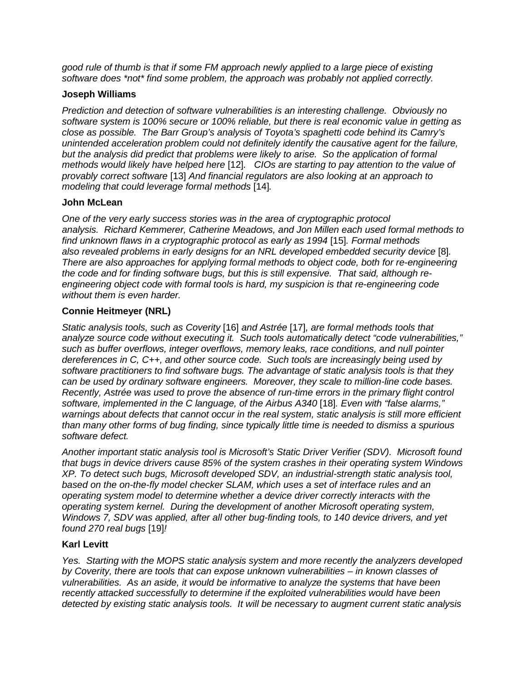*good rule of thumb is that if some FM approach newly applied to a large piece of existing software does \*not\* find some problem, the approach was probably not applied correctly.*

# **Joseph Williams**

*Prediction and detection of software vulnerabilities is an interesting challenge. Obviously no software system is 100% secure or 100% reliable, but there is real economic value in getting as close as possible. The Barr Group's analysis of Toyota's spaghetti code behind its Camry's unintended acceleration problem could not definitely identify the causative agent for the failure, but the analysis did predict that problems were likely to arise. So the application of formal methods would likely have helped here* [12]*. CIOs are starting to pay attention to the value of provably correct software* [13] *And financial regulators are also looking at an approach to modeling that could leverage formal methods* [14]*.* 

# **John McLean**

*One of the very early success stories was in the area of cryptographic protocol analysis. Richard Kemmerer, Catherine Meadows, and Jon Millen each used formal methods to find unknown flaws in a cryptographic protocol as early as 1994* [15]*. Formal methods also revealed problems in early designs for an NRL developed embedded security device* [8]*. There are also approaches for applying formal methods to object code, both for re-engineering the code and for finding software bugs, but this is still expensive. That said, although reengineering object code with formal tools is hard, my suspicion is that re-engineering code without them is even harder.*

# **Connie Heitmeyer (NRL)**

*Static analysis tools, such as Coverity* [16] *and Astrée* [17]*, are formal methods tools that analyze source code without executing it. Such tools automatically detect "code vulnerabilities," such as buffer overflows, integer overflows, memory leaks, race conditions, and null pointer dereferences in C, C++, and other source code. Such tools are increasingly being used by software practitioners to find software bugs. The advantage of static analysis tools is that they can be used by ordinary software engineers. Moreover, they scale to million-line code bases. Recently, Astrée was used to prove the absence of run-time errors in the primary flight control software, implemented in the C language, of the Airbus A340* [18]*. Even with "false alarms," warnings about defects that cannot occur in the real system, static analysis is still more efficient than many other forms of bug finding, since typically little time is needed to dismiss a spurious software defect.* 

*Another important static analysis tool is Microsoft's Static Driver Verifier (SDV). Microsoft found that bugs in device drivers cause 85% of the system crashes in their operating system Windows XP. To detect such bugs, Microsoft developed SDV, an industrial-strength static analysis tool, based on the on-the-fly model checker SLAM, which uses a set of interface rules and an operating system model to determine whether a device driver correctly interacts with the operating system kernel. During the development of another Microsoft operating system, Windows 7, SDV was applied, after all other bug-finding tools, to 140 device drivers, and yet found 270 real bugs* [19]*!*

# **Karl Levitt**

*Yes. Starting with the MOPS static analysis system and more recently the analyzers developed by Coverity, there are tools that can expose unknown vulnerabilities – in known classes of vulnerabilities. As an aside, it would be informative to analyze the systems that have been recently attacked successfully to determine if the exploited vulnerabilities would have been detected by existing static analysis tools. It will be necessary to augment current static analysis*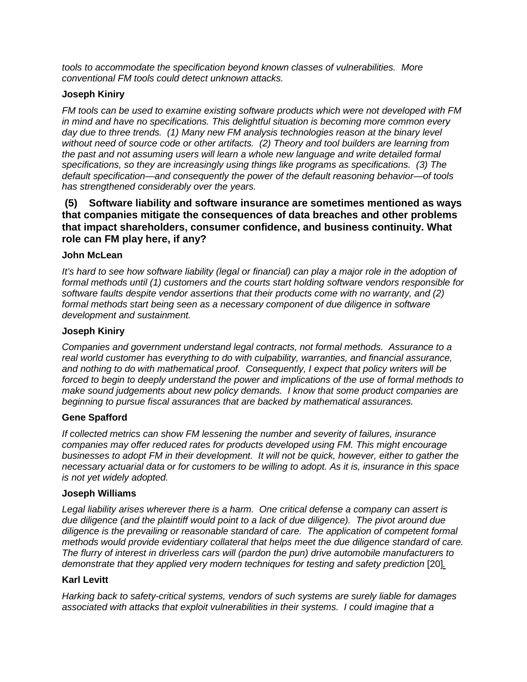*tools to accommodate the specification beyond known classes of vulnerabilities. More conventional FM tools could detect unknown attacks.*

# **Joseph Kiniry**

*FM tools can be used to examine existing software products which were not developed with FM in mind and have no specifications. This delightful situation is becoming more common every day due to three trends. (1) Many new FM analysis technologies reason at the binary level without need of source code or other artifacts. (2) Theory and tool builders are learning from the past and not assuming users will learn a whole new language and write detailed formal specifications, so they are increasingly using things like programs as specifications. (3) The default specification—and consequently the power of the default reasoning behavior—of tools has strengthened considerably over the years.* 

**(5) Software liability and software insurance are sometimes mentioned as ways that companies mitigate the consequences of data breaches and other problems that impact shareholders, consumer confidence, and business continuity. What role can FM play here, if any?**

### **John McLean**

*It's hard to see how software liability (legal or financial) can play a major role in the adoption of formal methods until (1) customers and the courts start holding software vendors responsible for software faults despite vendor assertions that their products come with no warranty, and (2) formal methods start being seen as a necessary component of due diligence in software development and sustainment.*

### **Joseph Kiniry**

*Companies and government understand legal contracts, not formal methods. Assurance to a real world customer has everything to do with culpability, warranties, and financial assurance, and nothing to do with mathematical proof. Consequently, I expect that policy writers will be forced to begin to deeply understand the power and implications of the use of formal methods to make sound judgements about new policy demands. I know that some product companies are beginning to pursue fiscal assurances that are backed by mathematical assurances.*

# **Gene Spafford**

*If collected metrics can show FM lessening the number and severity of failures, insurance companies may offer reduced rates for products developed using FM. This might encourage businesses to adopt FM in their development. It will not be quick, however, either to gather the necessary actuarial data or for customers to be willing to adopt. As it is, insurance in this space is not yet widely adopted.* 

### **Joseph Williams**

*Legal liability arises wherever there is a harm. One critical defense a company can assert is due diligence (and the plaintiff would point to a lack of due diligence). The pivot around due diligence is the prevailing or reasonable standard of care. The application of competent formal methods would provide evidentiary collateral that helps meet the due diligence standard of care. The flurry of interest in driverless cars will (pardon the pun) drive automobile manufacturers to demonstrate that they applied very modern techniques for testing and safety prediction* [20]*.*

### **Karl Levitt**

*Harking back to safety-critical systems, vendors of such systems are surely liable for damages associated with attacks that exploit vulnerabilities in their systems. I could imagine that a*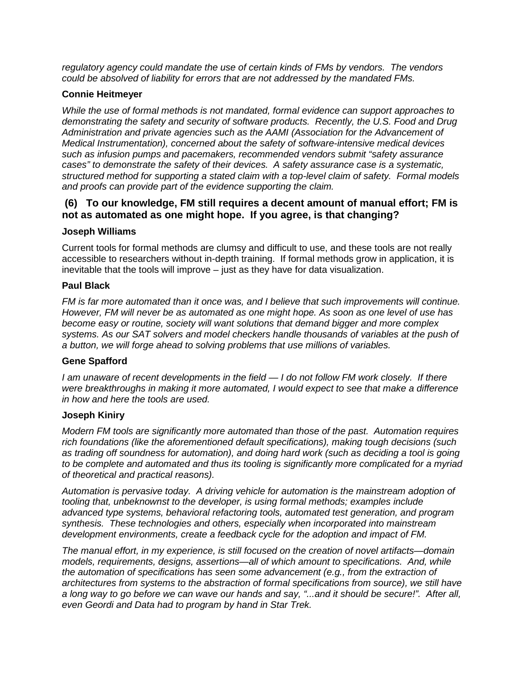*regulatory agency could mandate the use of certain kinds of FMs by vendors. The vendors could be absolved of liability for errors that are not addressed by the mandated FMs.*

### **Connie Heitmeyer**

*While the use of formal methods is not mandated, formal evidence can support approaches to demonstrating the safety and security of software products. Recently, the U.S. Food and Drug Administration and private agencies such as the AAMI (Association for the Advancement of Medical Instrumentation), concerned about the safety of software-intensive medical devices such as infusion pumps and pacemakers, recommended vendors submit "safety assurance cases" to demonstrate the safety of their devices. A safety assurance case is a systematic, structured method for supporting a stated claim with a top-level claim of safety. Formal models and proofs can provide part of the evidence supporting the claim.* 

# **(6) To our knowledge, FM still requires a decent amount of manual effort; FM is not as automated as one might hope. If you agree, is that changing?**

### **Joseph Williams**

Current tools for formal methods are clumsy and difficult to use, and these tools are not really accessible to researchers without in-depth training. If formal methods grow in application, it is inevitable that the tools will improve – just as they have for data visualization.

### **Paul Black**

*FM is far more automated than it once was, and I believe that such improvements will continue. However, FM will never be as automated as one might hope. As soon as one level of use has become easy or routine, society will want solutions that demand bigger and more complex systems. As our SAT solvers and model checkers handle thousands of variables at the push of a button, we will forge ahead to solving problems that use millions of variables.*

# **Gene Spafford**

*I am unaware of recent developments in the field — I do not follow FM work closely. If there were breakthroughs in making it more automated, I would expect to see that make a difference in how and here the tools are used.*

### **Joseph Kiniry**

*Modern FM tools are significantly more automated than those of the past. Automation requires rich foundations (like the aforementioned default specifications), making tough decisions (such as trading off soundness for automation), and doing hard work (such as deciding a tool is going to be complete and automated and thus its tooling is significantly more complicated for a myriad of theoretical and practical reasons).*

*Automation is pervasive today. A driving vehicle for automation is the mainstream adoption of tooling that, unbeknownst to the developer, is using formal methods; examples include advanced type systems, behavioral refactoring tools, automated test generation, and program synthesis. These technologies and others, especially when incorporated into mainstream development environments, create a feedback cycle for the adoption and impact of FM.*

*The manual effort, in my experience, is still focused on the creation of novel artifacts—domain models, requirements, designs, assertions—all of which amount to specifications. And, while the automation of specifications has seen some advancement (e.g., from the extraction of architectures from systems to the abstraction of formal specifications from source), we still have a long way to go before we can wave our hands and say, "...and it should be secure!". After all, even Geordi and Data had to program by hand in Star Trek.*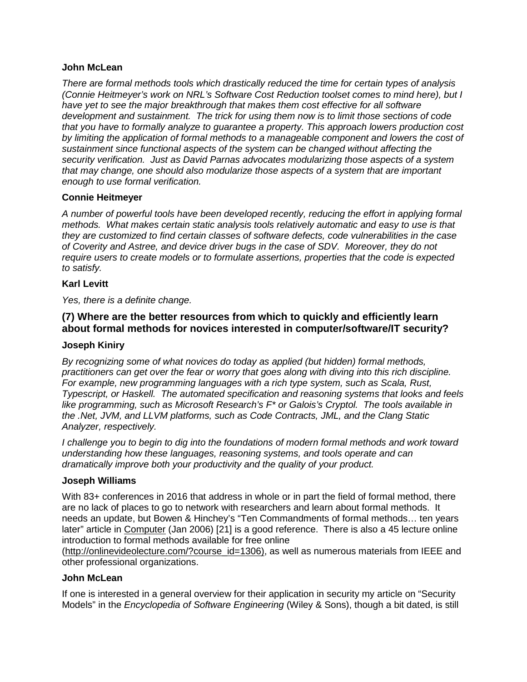### **John McLean**

*There are formal methods tools which drastically reduced the time for certain types of analysis (Connie Heitmeyer's work on NRL's Software Cost Reduction toolset comes to mind here), but I have yet to see the major breakthrough that makes them cost effective for all software development and sustainment. The trick for using them now is to limit those sections of code that you have to formally analyze to guarantee a property. This approach lowers production cost by limiting the application of formal methods to a manageable component and lowers the cost of sustainment since functional aspects of the system can be changed without affecting the security verification. Just as David Parnas advocates modularizing those aspects of a system that may change, one should also modularize those aspects of a system that are important enough to use formal verification.*

### **Connie Heitmeyer**

*A number of powerful tools have been developed recently, reducing the effort in applying formal methods. What makes certain static analysis tools relatively automatic and easy to use is that they are customized to find certain classes of software defects, code vulnerabilities in the case of Coverity and Astree, and device driver bugs in the case of SDV. Moreover, they do not require users to create models or to formulate assertions, properties that the code is expected to satisfy.*

### **Karl Levitt**

*Yes, there is a definite change.* 

# **(7) Where are the better resources from which to quickly and efficiently learn about formal methods for novices interested in computer/software/IT security?**

### **Joseph Kiniry**

*By recognizing some of what novices do today as applied (but hidden) formal methods, practitioners can get over the fear or worry that goes along with diving into this rich discipline. For example, new programming languages with a rich type system, such as Scala, Rust, Typescript, or Haskell. The automated specification and reasoning systems that looks and feels like programming, such as Microsoft Research's F\* or Galois's Cryptol. The tools available in the .Net, JVM, and LLVM platforms, such as Code Contracts, JML, and the Clang Static Analyzer, respectively.* 

*I* challenge you to begin to dig into the foundations of modern formal methods and work toward *understanding how these languages, reasoning systems, and tools operate and can dramatically improve both your productivity and the quality of your product.*

### **Joseph Williams**

With 83+ conferences in 2016 that address in whole or in part the field of formal method, there are no lack of places to go to network with researchers and learn about formal methods. It needs an update, but Bowen & Hinchey's "Ten Commandments of formal methods… ten years later" article in Computer (Jan 2006) [21] is a good reference. There is also a 45 lecture online introduction to formal methods available for free online

[\(http://onlinevideolecture.com/?course\\_id=1306\),](http://onlinevideolecture.com/?course_id=1306)) as well as numerous materials from IEEE and other professional organizations.

### **John McLean**

If one is interested in a general overview for their application in security my article on "Security Models" in the *Encyclopedia of Software Engineering* (Wiley & Sons), though a bit dated, is still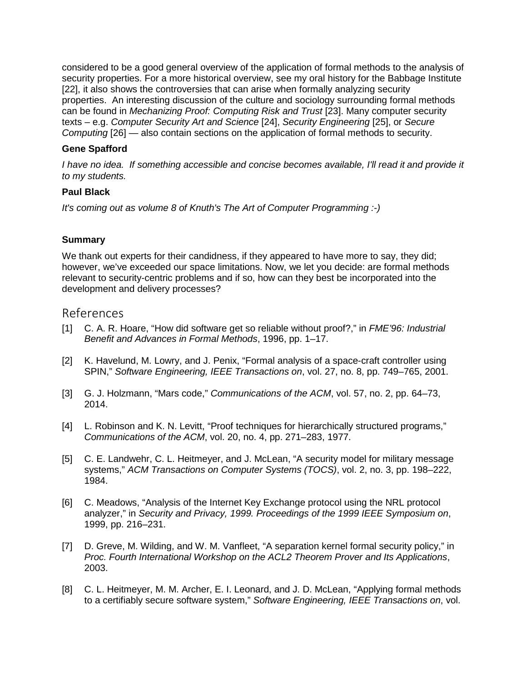considered to be a good general overview of the application of formal methods to the analysis of security properties. For a more historical overview, see my oral history for the Babbage Institute [22], it also shows the controversies that can arise when formally analyzing security properties. An interesting discussion of the culture and sociology surrounding formal methods can be found in *Mechanizing Proof: Computing Risk and Trust* [23]. Many computer security texts – e.g. *Computer Security Art and Science* [24], *Security Engineering* [25], or *Secure Computing* [26] — also contain sections on the application of formal methods to security.

# **Gene Spafford**

I have no idea. If something accessible and concise becomes available, I'll read it and provide it *to my students.*

# **Paul Black**

*It's coming out as volume 8 of Knuth's The Art of Computer Programming :-)*

# **Summary**

We thank out experts for their candidness, if they appeared to have more to say, they did; however, we've exceeded our space limitations. Now, we let you decide: are formal methods relevant to security-centric problems and if so, how can they best be incorporated into the development and delivery processes?

# References

- [1] C. A. R. Hoare, "How did software get so reliable without proof?," in *FME'96: Industrial Benefit and Advances in Formal Methods*, 1996, pp. 1–17.
- [2] K. Havelund, M. Lowry, and J. Penix, "Formal analysis of a space-craft controller using SPIN," *Software Engineering, IEEE Transactions on*, vol. 27, no. 8, pp. 749–765, 2001.
- [3] G. J. Holzmann, "Mars code," *Communications of the ACM*, vol. 57, no. 2, pp. 64–73, 2014.
- [4] L. Robinson and K. N. Levitt, "Proof techniques for hierarchically structured programs," *Communications of the ACM*, vol. 20, no. 4, pp. 271–283, 1977.
- [5] C. E. Landwehr, C. L. Heitmeyer, and J. McLean, "A security model for military message systems," *ACM Transactions on Computer Systems (TOCS)*, vol. 2, no. 3, pp. 198–222, 1984.
- [6] C. Meadows, "Analysis of the Internet Key Exchange protocol using the NRL protocol analyzer," in *Security and Privacy, 1999. Proceedings of the 1999 IEEE Symposium on*, 1999, pp. 216–231.
- [7] D. Greve, M. Wilding, and W. M. Vanfleet, "A separation kernel formal security policy," in *Proc. Fourth International Workshop on the ACL2 Theorem Prover and Its Applications*, 2003.
- [8] C. L. Heitmeyer, M. M. Archer, E. I. Leonard, and J. D. McLean, "Applying formal methods to a certifiably secure software system," *Software Engineering, IEEE Transactions on*, vol.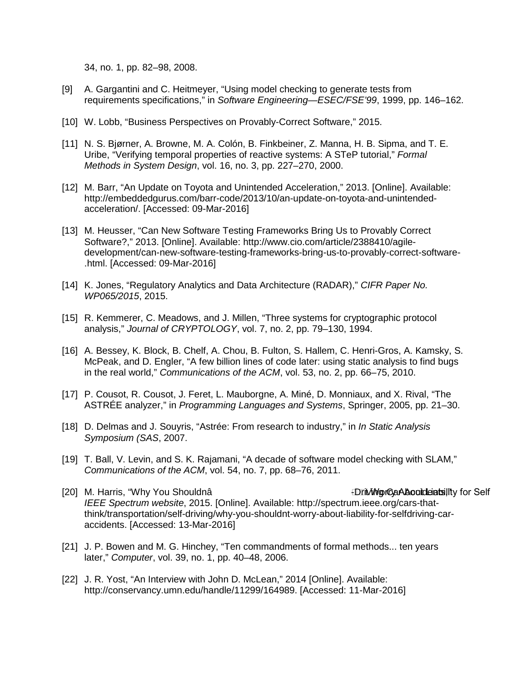34, no. 1, pp. 82–98, 2008.

- [9] A. Gargantini and C. Heitmeyer, "Using model checking to generate tests from requirements specifications," in *Software Engineering—ESEC/FSE'99*, 1999, pp. 146–162.
- [10] W. Lobb, "Business Perspectives on Provably-Correct Software," 2015.
- [11] N. S. Bjørner, A. Browne, M. A. Colón, B. Finkbeiner, Z. Manna, H. B. Sipma, and T. E. Uribe, "Verifying temporal properties of reactive systems: A STeP tutorial," *Formal Methods in System Design*, vol. 16, no. 3, pp. 227–270, 2000.
- [12] M. Barr, "An Update on Toyota and Unintended Acceleration," 2013. [Online]. Available: http://embeddedgurus.com/barr-code/2013/10/an-update-on-toyota-and-unintendedacceleration/. [Accessed: 09-Mar-2016]
- [13] M. Heusser, "Can New Software Testing Frameworks Bring Us to Provably Correct Software?," 2013. [Online]. Available: http://www.cio.com/article/2388410/agiledevelopment/can-new-software-testing-frameworks-bring-us-to-provably-correct-software- .html. [Accessed: 09-Mar-2016]
- [14] K. Jones, "Regulatory Analytics and Data Architecture (RADAR)," *CIFR Paper No. WP065/2015*, 2015.
- [15] R. Kemmerer, C. Meadows, and J. Millen, "Three systems for cryptographic protocol analysis," *Journal of CRYPTOLOGY*, vol. 7, no. 2, pp. 79–130, 1994.
- [16] A. Bessey, K. Block, B. Chelf, A. Chou, B. Fulton, S. Hallem, C. Henri-Gros, A. Kamsky, S. McPeak, and D. Engler, "A few billion lines of code later: using static analysis to find bugs in the real world," *Communications of the ACM*, vol. 53, no. 2, pp. 66–75, 2010.
- [17] P. Cousot, R. Cousot, J. Feret, L. Mauborgne, A. Miné, D. Monniaux, and X. Rival, "The ASTRÉE analyzer," in *Programming Languages and Systems*, Springer, 2005, pp. 21–30.
- [18] D. Delmas and J. Souyris, "Astrée: From research to industry," in *In Static Analysis Symposium (SAS*, 2007.
- [19] T. Ball, V. Levin, and S. K. Rajamani, "A decade of software model checking with SLAM," *Communications of the ACM*, vol. 54, no. 7, pp. 68–76, 2011.
- [20] M. Harris, "Why You Shouldnâ The Care Accidents About Le Driving Car About List of Self *IEEE Spectrum website*, 2015. [Online]. Available: http://spectrum.ieee.org/cars-thatthink/transportation/self-driving/why-you-shouldnt-worry-about-liability-for-selfdriving-caraccidents. [Accessed: 13-Mar-2016]
- [21] J. P. Bowen and M. G. Hinchey, "Ten commandments of formal methods... ten years later," *Computer*, vol. 39, no. 1, pp. 40–48, 2006.
- [22] J. R. Yost, "An Interview with John D. McLean," 2014 [Online]. Available: http://conservancy.umn.edu/handle/11299/164989. [Accessed: 11-Mar-2016]